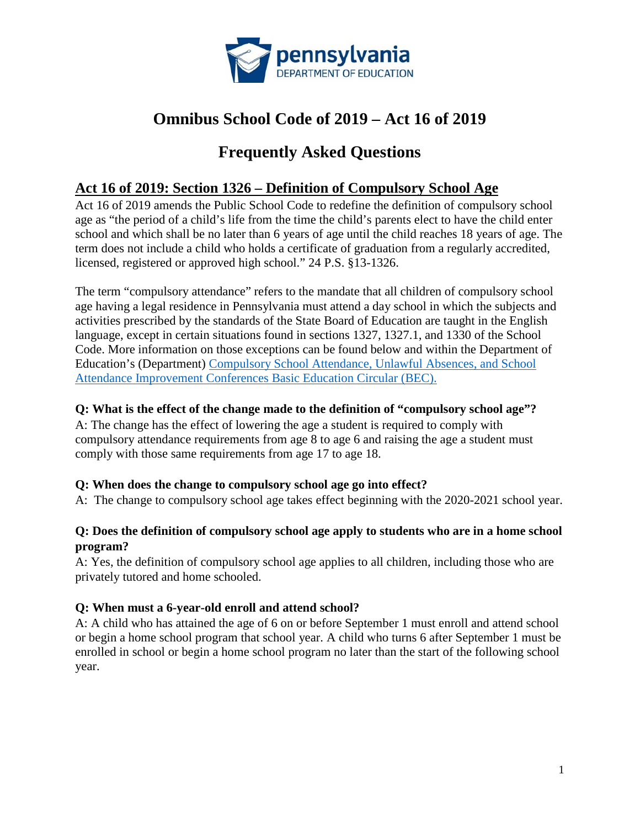

# **Omnibus School Code of 2019 – Act 16 of 2019**

# **Frequently Asked Questions**

# **Act 16 of 2019: Section 1326 – Definition of Compulsory School Age**

Act 16 of 2019 amends the Public School Code to redefine the definition of compulsory school age as "the period of a child's life from the time the child's parents elect to have the child enter school and which shall be no later than 6 years of age until the child reaches 18 years of age. The term does not include a child who holds a certificate of graduation from a regularly accredited, licensed, registered or approved high school." 24 P.S. §13-1326.

The term "compulsory attendance" refers to the mandate that all children of compulsory school age having a legal residence in Pennsylvania must attend a day school in which the subjects and activities prescribed by the standards of the State Board of Education are taught in the English language, except in certain situations found in sections 1327, 1327.1, and 1330 of the School Code. More information on those exceptions can be found below and within the Department of Education's (Department) [Compulsory School Attendance, Unlawful Absences, and School](https://www.education.pa.gov/Documents/Codes%20and%20Regulations/Basic%20Education%20Circulars/Purdons%20Statutes/Truancy.pdf)  [Attendance Improvement Conferences Basic Education Circular \(BEC\).](https://www.education.pa.gov/Documents/Codes%20and%20Regulations/Basic%20Education%20Circulars/Purdons%20Statutes/Truancy.pdf)

### **Q: What is the effect of the change made to the definition of "compulsory school age"?**

A: The change has the effect of lowering the age a student is required to comply with compulsory attendance requirements from age 8 to age 6 and raising the age a student must comply with those same requirements from age 17 to age 18.

## **Q: When does the change to compulsory school age go into effect?**

A: The change to compulsory school age takes effect beginning with the 2020-2021 school year.

#### **Q: Does the definition of compulsory school age apply to students who are in a home school program?**

A: Yes, the definition of compulsory school age applies to all children, including those who are privately tutored and home schooled.

## **Q: When must a 6-year-old enroll and attend school?**

A: A child who has attained the age of 6 on or before September 1 must enroll and attend school or begin a home school program that school year. A child who turns 6 after September 1 must be enrolled in school or begin a home school program no later than the start of the following school year.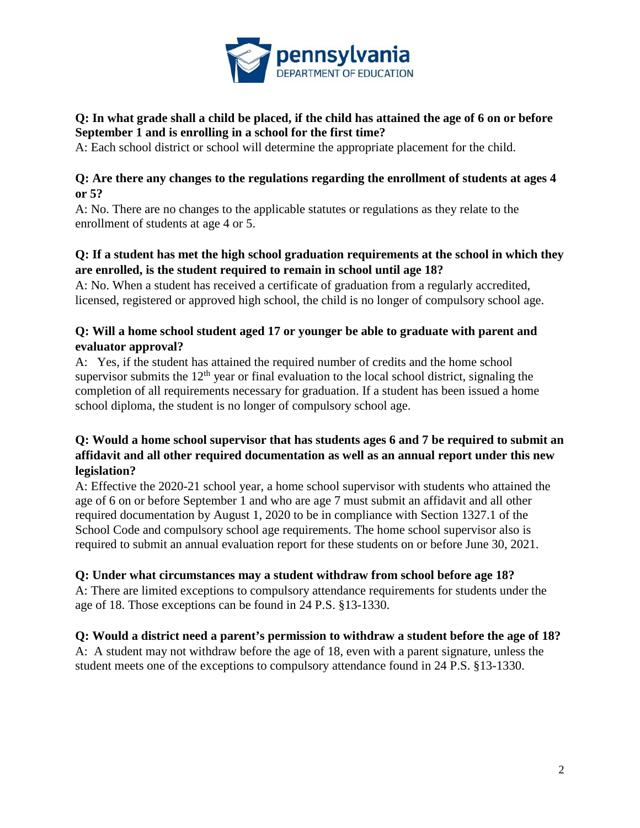

#### **Q: In what grade shall a child be placed, if the child has attained the age of 6 on or before September 1 and is enrolling in a school for the first time?**

A: Each school district or school will determine the appropriate placement for the child.

#### **Q: Are there any changes to the regulations regarding the enrollment of students at ages 4 or 5?**

A: No. There are no changes to the applicable statutes or regulations as they relate to the enrollment of students at age 4 or 5.

### **Q: If a student has met the high school graduation requirements at the school in which they are enrolled, is the student required to remain in school until age 18?**

A: No. When a student has received a certificate of graduation from a regularly accredited, licensed, registered or approved high school, the child is no longer of compulsory school age.

#### **Q: Will a home school student aged 17 or younger be able to graduate with parent and evaluator approval?**

A: Yes, if the student has attained the required number of credits and the home school supervisor submits the  $12<sup>th</sup>$  year or final evaluation to the local school district, signaling the completion of all requirements necessary for graduation. If a student has been issued a home school diploma, the student is no longer of compulsory school age.

## **Q: Would a home school supervisor that has students ages 6 and 7 be required to submit an affidavit and all other required documentation as well as an annual report under this new legislation?**

A: Effective the 2020-21 school year, a home school supervisor with students who attained the age of 6 on or before September 1 and who are age 7 must submit an affidavit and all other required documentation by August 1, 2020 to be in compliance with Section 1327.1 of the School Code and compulsory school age requirements. The home school supervisor also is required to submit an annual evaluation report for these students on or before June 30, 2021.

## **Q: Under what circumstances may a student withdraw from school before age 18?**

A: There are limited exceptions to compulsory attendance requirements for students under the age of 18. Those exceptions can be found in 24 P.S. §13-1330.

## **Q: Would a district need a parent's permission to withdraw a student before the age of 18?**

A: A student may not withdraw before the age of 18, even with a parent signature, unless the student meets one of the exceptions to compulsory attendance found in 24 P.S. §13-1330.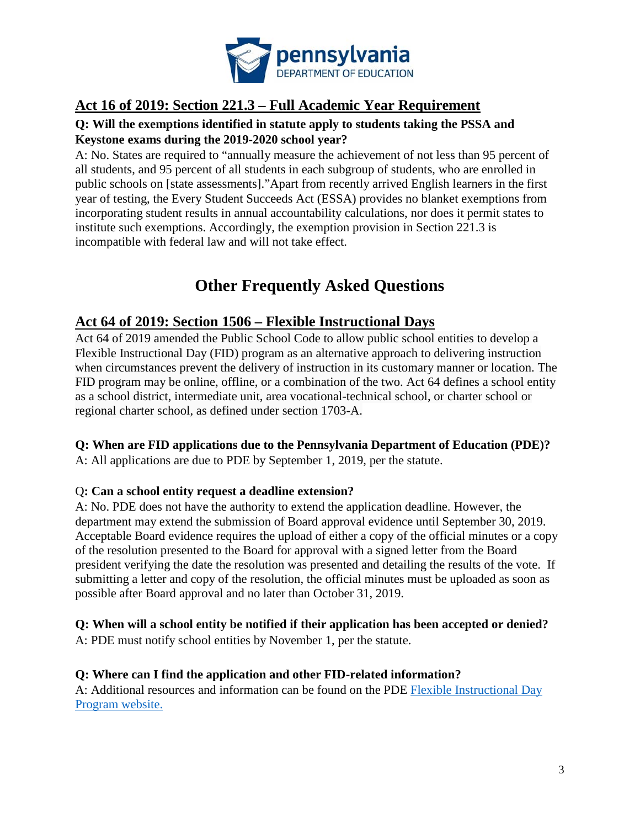

# **Act 16 of 2019: Section 221.3 – Full Academic Year Requirement**

### **Q: Will the exemptions identified in statute apply to students taking the PSSA and Keystone exams during the 2019-2020 school year?**

A: No. States are required to "annually measure the achievement of not less than 95 percent of all students, and 95 percent of all students in each subgroup of students, who are enrolled in public schools on [state assessments]."Apart from recently arrived English learners in the first year of testing, the Every Student Succeeds Act (ESSA) provides no blanket exemptions from incorporating student results in annual accountability calculations, nor does it permit states to institute such exemptions. Accordingly, the exemption provision in Section 221.3 is incompatible with federal law and will not take effect.

# **Other Frequently Asked Questions**

# **Act 64 of 2019: Section 1506 – Flexible Instructional Days**

Act 64 of 2019 amended the Public School Code to allow public school entities to develop a Flexible Instructional Day (FID) program as an alternative approach to delivering instruction when circumstances prevent the delivery of instruction in its customary manner or location. The FID program may be online, offline, or a combination of the two. Act 64 defines a school entity as a school district, intermediate unit, area vocational-technical school, or charter school or regional charter school, as defined under section 1703-A.

#### **Q: When are FID applications due to the Pennsylvania Department of Education (PDE)?**

A: All applications are due to PDE by September 1, 2019, per the statute.

#### Q**: Can a school entity request a deadline extension?**

A: No. PDE does not have the authority to extend the application deadline. However, the department may extend the submission of Board approval evidence until September 30, 2019. Acceptable Board evidence requires the upload of either a copy of the official minutes or a copy of the resolution presented to the Board for approval with a signed letter from the Board president verifying the date the resolution was presented and detailing the results of the vote. If submitting a letter and copy of the resolution, the official minutes must be uploaded as soon as possible after Board approval and no later than October 31, 2019.

# **Q: When will a school entity be notified if their application has been accepted or denied?**

A: PDE must notify school entities by November 1, per the statute.

#### **Q: Where can I find the application and other FID-related information?**

A: Additional resources and information can be found on the PDE [Flexible Instructional Day](https://www.education.pa.gov/Teachers%20-%20Administrators/School%20Services/Pages/FID.aspx.)  [Program website.](https://www.education.pa.gov/Teachers%20-%20Administrators/School%20Services/Pages/FID.aspx.)